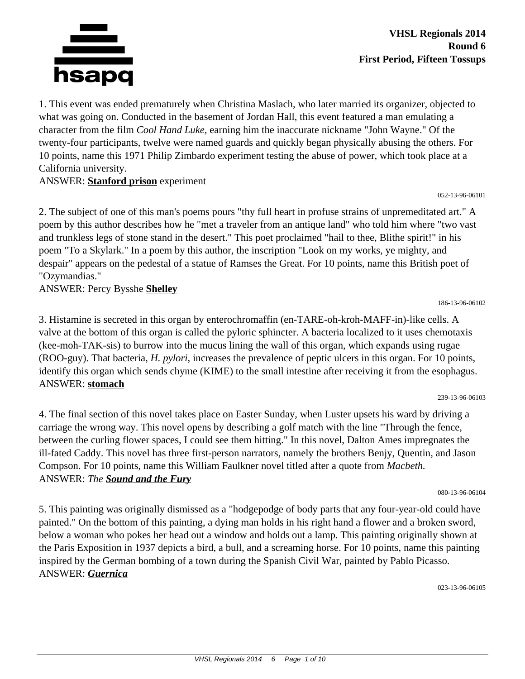

1. This event was ended prematurely when Christina Maslach, who later married its organizer, objected to what was going on. Conducted in the basement of Jordan Hall, this event featured a man emulating a character from the film *Cool Hand Luke,* earning him the inaccurate nickname "John Wayne." Of the twenty-four participants, twelve were named guards and quickly began physically abusing the others. For 10 points, name this 1971 Philip Zimbardo experiment testing the abuse of power, which took place at a California university.

#### ANSWER: **Stanford prison** experiment

052-13-96-06101

2. The subject of one of this man's poems pours "thy full heart in profuse strains of unpremeditated art." A poem by this author describes how he "met a traveler from an antique land" who told him where "two vast and trunkless legs of stone stand in the desert." This poet proclaimed "hail to thee, Blithe spirit!" in his poem "To a Skylark." In a poem by this author, the inscription "Look on my works, ye mighty, and despair" appears on the pedestal of a statue of Ramses the Great. For 10 points, name this British poet of "Ozymandias."

ANSWER: Percy Bysshe **Shelley**

3. Histamine is secreted in this organ by enterochromaffin (en-TARE-oh-kroh-MAFF-in)-like cells. A valve at the bottom of this organ is called the pyloric sphincter. A bacteria localized to it uses chemotaxis (kee-moh-TAK-sis) to burrow into the mucus lining the wall of this organ, which expands using rugae (ROO-guy). That bacteria, *H. pylori*, increases the prevalence of peptic ulcers in this organ. For 10 points, identify this organ which sends chyme (KIME) to the small intestine after receiving it from the esophagus. ANSWER: **stomach**

239-13-96-06103

186-13-96-06102

4. The final section of this novel takes place on Easter Sunday, when Luster upsets his ward by driving a carriage the wrong way. This novel opens by describing a golf match with the line "Through the fence, between the curling flower spaces, I could see them hitting." In this novel, Dalton Ames impregnates the ill-fated Caddy. This novel has three first-person narrators, namely the brothers Benjy, Quentin, and Jason Compson. For 10 points, name this William Faulkner novel titled after a quote from *Macbeth.* ANSWER: *The Sound and the Fury*

080-13-96-06104

5. This painting was originally dismissed as a "hodgepodge of body parts that any four-year-old could have painted." On the bottom of this painting, a dying man holds in his right hand a flower and a broken sword, below a woman who pokes her head out a window and holds out a lamp. This painting originally shown at the Paris Exposition in 1937 depicts a bird, a bull, and a screaming horse. For 10 points, name this painting inspired by the German bombing of a town during the Spanish Civil War, painted by Pablo Picasso. ANSWER: *Guernica*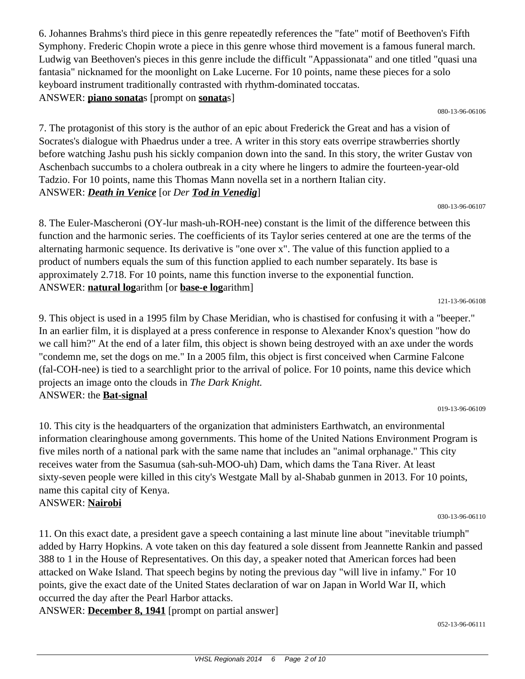6. Johannes Brahms's third piece in this genre repeatedly references the "fate" motif of Beethoven's Fifth Symphony. Frederic Chopin wrote a piece in this genre whose third movement is a famous funeral march. Ludwig van Beethoven's pieces in this genre include the difficult "Appassionata" and one titled "quasi una fantasia" nicknamed for the moonlight on Lake Lucerne. For 10 points, name these pieces for a solo keyboard instrument traditionally contrasted with rhythm-dominated toccatas. ANSWER: **piano sonata**s [prompt on **sonata**s]

080-13-96-06106

7. The protagonist of this story is the author of an epic about Frederick the Great and has a vision of Socrates's dialogue with Phaedrus under a tree. A writer in this story eats overripe strawberries shortly before watching Jashu push his sickly companion down into the sand. In this story, the writer Gustav von Aschenbach succumbs to a cholera outbreak in a city where he lingers to admire the fourteen-year-old Tadzio. For 10 points, name this Thomas Mann novella set in a northern Italian city. ANSWER: *Death in Venice* [or *Der Tod in Venedig*]

080-13-96-06107

8. The Euler-Mascheroni (OY-lur mash-uh-ROH-nee) constant is the limit of the difference between this function and the harmonic series. The coefficients of its Taylor series centered at one are the terms of the alternating harmonic sequence. Its derivative is "one over x". The value of this function applied to a product of numbers equals the sum of this function applied to each number separately. Its base is approximately 2.718. For 10 points, name this function inverse to the exponential function. ANSWER: **natural log**arithm [or **base-e log**arithm]

121-13-96-06108

9. This object is used in a 1995 film by Chase Meridian, who is chastised for confusing it with a "beeper." In an earlier film, it is displayed at a press conference in response to Alexander Knox's question "how do we call him?" At the end of a later film, this object is shown being destroyed with an axe under the words "condemn me, set the dogs on me." In a 2005 film, this object is first conceived when Carmine Falcone (fal-COH-nee) is tied to a searchlight prior to the arrival of police. For 10 points, name this device which projects an image onto the clouds in *The Dark Knight.* ANSWER: the **Bat-signal**

019-13-96-06109

10. This city is the headquarters of the organization that administers Earthwatch, an environmental information clearinghouse among governments. This home of the United Nations Environment Program is five miles north of a national park with the same name that includes an "animal orphanage." This city receives water from the Sasumua (sah-suh-MOO-uh) Dam, which dams the Tana River. At least sixty-seven people were killed in this city's Westgate Mall by al-Shabab gunmen in 2013. For 10 points, name this capital city of Kenya. ANSWER: **Nairobi**

030-13-96-06110

11. On this exact date, a president gave a speech containing a last minute line about "inevitable triumph" added by Harry Hopkins. A vote taken on this day featured a sole dissent from Jeannette Rankin and passed 388 to 1 in the House of Representatives. On this day, a speaker noted that American forces had been attacked on Wake Island. That speech begins by noting the previous day "will live in infamy." For 10 points, give the exact date of the United States declaration of war on Japan in World War II, which occurred the day after the Pearl Harbor attacks.

ANSWER: **December 8, 1941** [prompt on partial answer]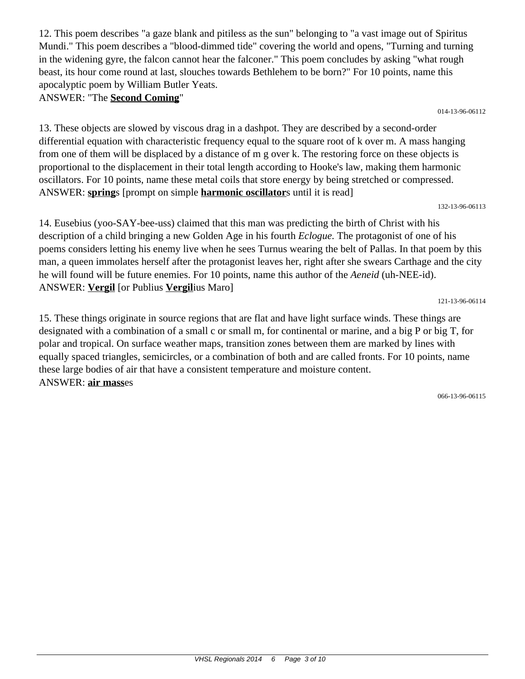12. This poem describes "a gaze blank and pitiless as the sun" belonging to "a vast image out of Spiritus Mundi." This poem describes a "blood-dimmed tide" covering the world and opens, "Turning and turning in the widening gyre, the falcon cannot hear the falconer." This poem concludes by asking "what rough beast, its hour come round at last, slouches towards Bethlehem to be born?" For 10 points, name this apocalyptic poem by William Butler Yeats.

ANSWER: "The **Second Coming**"

014-13-96-06112

13. These objects are slowed by viscous drag in a dashpot. They are described by a second-order differential equation with characteristic frequency equal to the square root of k over m. A mass hanging from one of them will be displaced by a distance of m g over k. The restoring force on these objects is proportional to the displacement in their total length according to Hooke's law, making them harmonic oscillators. For 10 points, name these metal coils that store energy by being stretched or compressed. ANSWER: **spring**s [prompt on simple **harmonic oscillator**s until it is read]

132-13-96-06113

14. Eusebius (yoo-SAY-bee-uss) claimed that this man was predicting the birth of Christ with his description of a child bringing a new Golden Age in his fourth *Eclogue.* The protagonist of one of his poems considers letting his enemy live when he sees Turnus wearing the belt of Pallas. In that poem by this man, a queen immolates herself after the protagonist leaves her, right after she swears Carthage and the city he will found will be future enemies. For 10 points, name this author of the *Aeneid* (uh-NEE-id). ANSWER: **Vergil** [or Publius **Vergil**ius Maro]

121-13-96-06114

15. These things originate in source regions that are flat and have light surface winds. These things are designated with a combination of a small c or small m, for continental or marine, and a big P or big T, for polar and tropical. On surface weather maps, transition zones between them are marked by lines with equally spaced triangles, semicircles, or a combination of both and are called fronts. For 10 points, name these large bodies of air that have a consistent temperature and moisture content. ANSWER: **air mass**es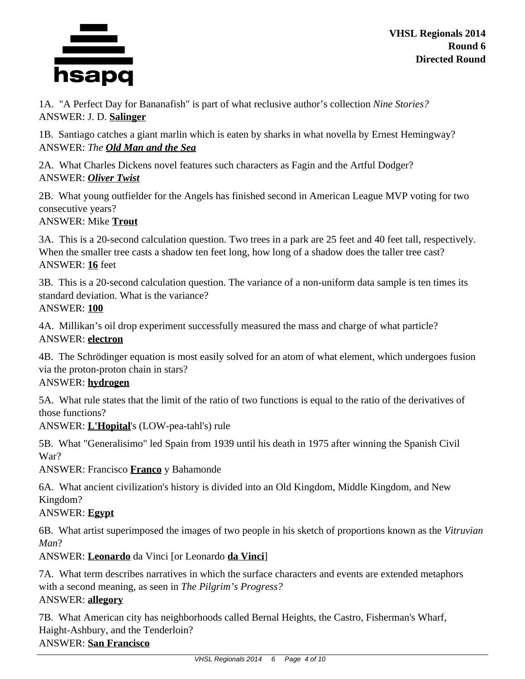

1A. "A Perfect Day for Bananafish" is part of what reclusive author's collection *Nine Stories?* ANSWER: J. D. **Salinger**

1B. Santiago catches a giant marlin which is eaten by sharks in what novella by Ernest Hemingway? ANSWER: *The Old Man and the Sea*

2A. What Charles Dickens novel features such characters as Fagin and the Artful Dodger? ANSWER: *Oliver Twist*

2B. What young outfielder for the Angels has finished second in American League MVP voting for two consecutive years?

## ANSWER: Mike **Trout**

3A. This is a 20-second calculation question. Two trees in a park are 25 feet and 40 feet tall, respectively. When the smaller tree casts a shadow ten feet long, how long of a shadow does the taller tree cast? ANSWER: **16** feet

3B. This is a 20-second calculation question. The variance of a non-uniform data sample is ten times its standard deviation. What is the variance?

## ANSWER: **100**

4A. Millikan's oil drop experiment successfully measured the mass and charge of what particle? ANSWER: **electron**

4B. The Schrödinger equation is most easily solved for an atom of what element, which undergoes fusion via the proton-proton chain in stars?

## ANSWER: **hydrogen**

5A. What rule states that the limit of the ratio of two functions is equal to the ratio of the derivatives of those functions?

ANSWER: **L'Hopital**'s (LOW-pea-tahl's) rule

5B. What "Generalisimo" led Spain from 1939 until his death in 1975 after winning the Spanish Civil War?

ANSWER: Francisco **Franco** y Bahamonde

6A. What ancient civilization's history is divided into an Old Kingdom, Middle Kingdom, and New Kingdom?

# ANSWER: **Egypt**

6B. What artist superimposed the images of two people in his sketch of proportions known as the *Vitruvian Man*?

ANSWER: **Leonardo** da Vinci [or Leonardo **da Vinci**]

7A. What term describes narratives in which the surface characters and events are extended metaphors with a second meaning, as seen in *The Pilgrim's Progress?* ANSWER: **allegory**

7B. What American city has neighborhoods called Bernal Heights, the Castro, Fisherman's Wharf, Haight-Ashbury, and the Tenderloin? ANSWER: **San Francisco**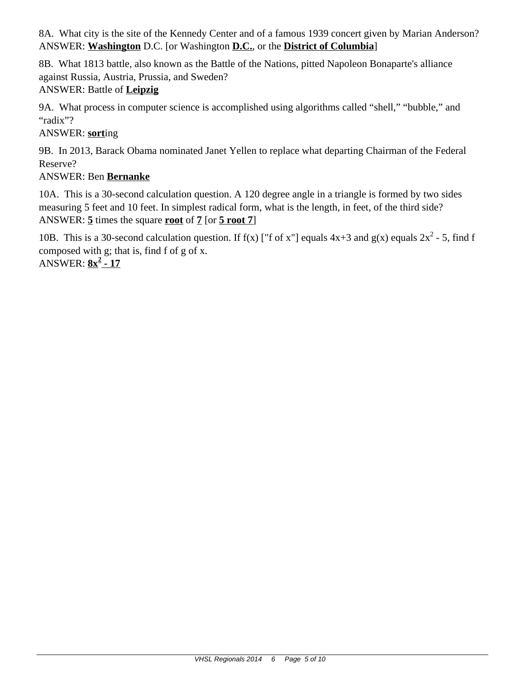8A. What city is the site of the Kennedy Center and of a famous 1939 concert given by Marian Anderson? ANSWER: **Washington** D.C. [or Washington **D.C.**, or the **District of Columbia**]

8B. What 1813 battle, also known as the Battle of the Nations, pitted Napoleon Bonaparte's alliance against Russia, Austria, Prussia, and Sweden? ANSWER: Battle of **Leipzig**

9A. What process in computer science is accomplished using algorithms called "shell," "bubble," and "radix"?

ANSWER: **sort**ing

9B. In 2013, Barack Obama nominated Janet Yellen to replace what departing Chairman of the Federal Reserve?

# ANSWER: Ben **Bernanke**

10A. This is a 30-second calculation question. A 120 degree angle in a triangle is formed by two sides measuring 5 feet and 10 feet. In simplest radical form, what is the length, in feet, of the third side? ANSWER: **5** times the square **root** of **7** [or **5 root 7**]

10B. This is a 30-second calculation question. If  $f(x)$  ["f of x"] equals  $4x+3$  and  $g(x)$  equals  $2x^2 - 5$ , find f composed with g; that is, find f of g of x. ANSWER: **8x<sup>2</sup> - 17**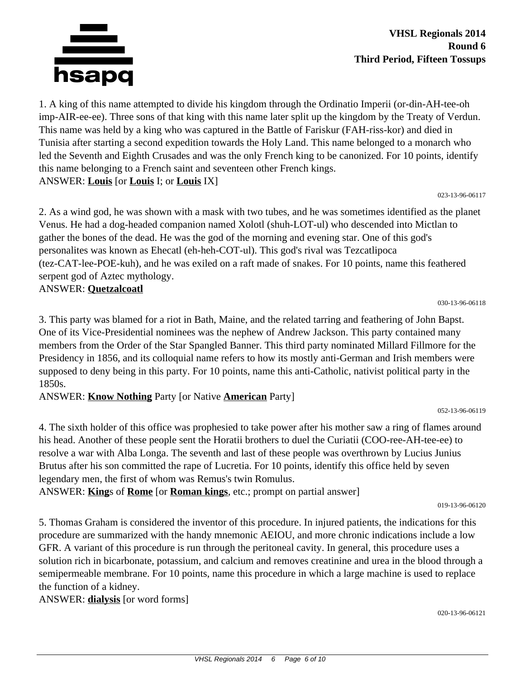

1. A king of this name attempted to divide his kingdom through the Ordinatio Imperii (or-din-AH-tee-oh imp-AIR-ee-ee). Three sons of that king with this name later split up the kingdom by the Treaty of Verdun. This name was held by a king who was captured in the Battle of Fariskur (FAH-riss-kor) and died in Tunisia after starting a second expedition towards the Holy Land. This name belonged to a monarch who led the Seventh and Eighth Crusades and was the only French king to be canonized. For 10 points, identify this name belonging to a French saint and seventeen other French kings. ANSWER: **Louis** [or **Louis** I; or **Louis** IX]

023-13-96-06117

2. As a wind god, he was shown with a mask with two tubes, and he was sometimes identified as the planet Venus. He had a dog-headed companion named Xolotl (shuh-LOT-ul) who descended into Mictlan to gather the bones of the dead. He was the god of the morning and evening star. One of this god's personalites was known as Ehecatl (eh-heh-COT-ul). This god's rival was Tezcatlipoca (tez-CAT-lee-POE-kuh), and he was exiled on a raft made of snakes. For 10 points, name this feathered serpent god of Aztec mythology.

ANSWER: **Quetzalcoatl**

030-13-96-06118

3. This party was blamed for a riot in Bath, Maine, and the related tarring and feathering of John Bapst. One of its Vice-Presidential nominees was the nephew of Andrew Jackson. This party contained many members from the Order of the Star Spangled Banner. This third party nominated Millard Fillmore for the Presidency in 1856, and its colloquial name refers to how its mostly anti-German and Irish members were supposed to deny being in this party. For 10 points, name this anti-Catholic, nativist political party in the 1850s.

ANSWER: **Know Nothing** Party [or Native **American** Party]

052-13-96-06119

4. The sixth holder of this office was prophesied to take power after his mother saw a ring of flames around his head. Another of these people sent the Horatii brothers to duel the Curiatii (COO-ree-AH-tee-ee) to resolve a war with Alba Longa. The seventh and last of these people was overthrown by Lucius Junius Brutus after his son committed the rape of Lucretia. For 10 points, identify this office held by seven legendary men, the first of whom was Remus's twin Romulus.

ANSWER: **King**s of **Rome** [or **Roman kings**, etc.; prompt on partial answer]

019-13-96-06120

5. Thomas Graham is considered the inventor of this procedure. In injured patients, the indications for this procedure are summarized with the handy mnemonic AEIOU, and more chronic indications include a low GFR. A variant of this procedure is run through the peritoneal cavity. In general, this procedure uses a solution rich in bicarbonate, potassium, and calcium and removes creatinine and urea in the blood through a semipermeable membrane. For 10 points, name this procedure in which a large machine is used to replace the function of a kidney.

ANSWER: **dialysis** [or word forms]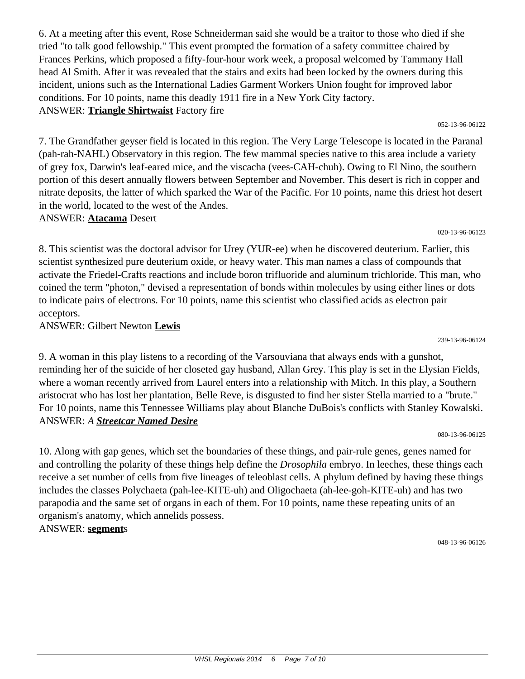6. At a meeting after this event, Rose Schneiderman said she would be a traitor to those who died if she tried "to talk good fellowship." This event prompted the formation of a safety committee chaired by Frances Perkins, which proposed a fifty-four-hour work week, a proposal welcomed by Tammany Hall head Al Smith. After it was revealed that the stairs and exits had been locked by the owners during this incident, unions such as the International Ladies Garment Workers Union fought for improved labor conditions. For 10 points, name this deadly 1911 fire in a New York City factory. ANSWER: **Triangle Shirtwaist** Factory fire

7. The Grandfather geyser field is located in this region. The Very Large Telescope is located in the Paranal (pah-rah-NAHL) Observatory in this region. The few mammal species native to this area include a variety of grey fox, Darwin's leaf-eared mice, and the viscacha (vees-CAH-chuh). Owing to El Nino, the southern portion of this desert annually flowers between September and November. This desert is rich in copper and nitrate deposits, the latter of which sparked the War of the Pacific. For 10 points, name this driest hot desert in the world, located to the west of the Andes.

### ANSWER: **Atacama** Desert

8. This scientist was the doctoral advisor for Urey (YUR-ee) when he discovered deuterium. Earlier, this scientist synthesized pure deuterium oxide, or heavy water. This man names a class of compounds that activate the Friedel-Crafts reactions and include boron trifluoride and aluminum trichloride. This man, who coined the term "photon," devised a representation of bonds within molecules by using either lines or dots to indicate pairs of electrons. For 10 points, name this scientist who classified acids as electron pair acceptors.

ANSWER: Gilbert Newton **Lewis**

9. A woman in this play listens to a recording of the Varsouviana that always ends with a gunshot, reminding her of the suicide of her closeted gay husband, Allan Grey. This play is set in the Elysian Fields, where a woman recently arrived from Laurel enters into a relationship with Mitch. In this play, a Southern aristocrat who has lost her plantation, Belle Reve, is disgusted to find her sister Stella married to a "brute." For 10 points, name this Tennessee Williams play about Blanche DuBois's conflicts with Stanley Kowalski. ANSWER: *A Streetcar Named Desire*

080-13-96-06125

10. Along with gap genes, which set the boundaries of these things, and pair-rule genes, genes named for and controlling the polarity of these things help define the *Drosophila* embryo. In leeches, these things each receive a set number of cells from five lineages of teleoblast cells. A phylum defined by having these things includes the classes Polychaeta (pah-lee-KITE-uh) and Oligochaeta (ah-lee-goh-KITE-uh) and has two parapodia and the same set of organs in each of them. For 10 points, name these repeating units of an organism's anatomy, which annelids possess. ANSWER: **segment**s

048-13-96-06126

#### 239-13-96-06124

#### 052-13-96-06122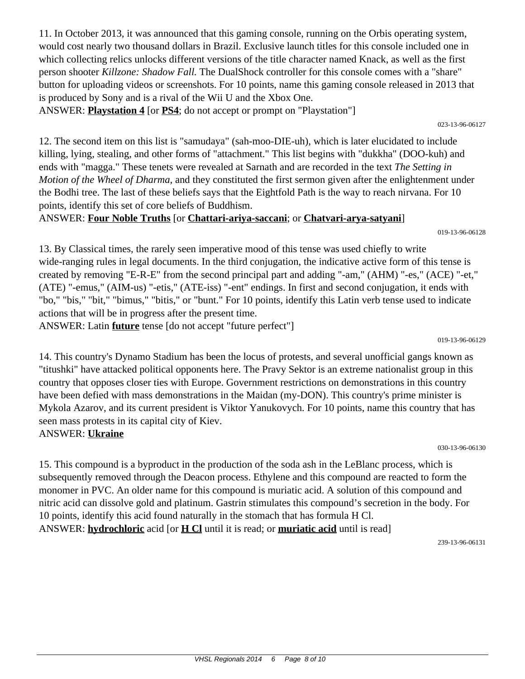11. In October 2013, it was announced that this gaming console, running on the Orbis operating system, would cost nearly two thousand dollars in Brazil. Exclusive launch titles for this console included one in which collecting relics unlocks different versions of the title character named Knack, as well as the first person shooter *Killzone: Shadow Fall.* The DualShock controller for this console comes with a "share" button for uploading videos or screenshots. For 10 points, name this gaming console released in 2013 that is produced by Sony and is a rival of the Wii U and the Xbox One.

ANSWER: **Playstation 4** [or **PS4**; do not accept or prompt on "Playstation"]

12. The second item on this list is "samudaya" (sah-moo-DIE-uh), which is later elucidated to include killing, lying, stealing, and other forms of "attachment." This list begins with "dukkha" (DOO-kuh) and ends with "magga." These tenets were revealed at Sarnath and are recorded in the text *The Setting in Motion of the Wheel of Dharma,* and they constituted the first sermon given after the enlightenment under the Bodhi tree. The last of these beliefs says that the Eightfold Path is the way to reach nirvana. For 10 points, identify this set of core beliefs of Buddhism.

ANSWER: **Four Noble Truths** [or **Chattari-ariya-saccani**; or **Chatvari-arya-satyani**]

019-13-96-06128

13. By Classical times, the rarely seen imperative mood of this tense was used chiefly to write wide-ranging rules in legal documents. In the third conjugation, the indicative active form of this tense is created by removing "E-R-E" from the second principal part and adding "-am," (AHM) "-es," (ACE) "-et," (ATE) "-emus," (AIM-us) "-etis," (ATE-iss) "-ent" endings. In first and second conjugation, it ends with "bo," "bis," "bit," "bimus," "bitis," or "bunt." For 10 points, identify this Latin verb tense used to indicate actions that will be in progress after the present time.

ANSWER: Latin **future** tense [do not accept "future perfect"]

019-13-96-06129

14. This country's Dynamo Stadium has been the locus of protests, and several unofficial gangs known as "titushki" have attacked political opponents here. The Pravy Sektor is an extreme nationalist group in this country that opposes closer ties with Europe. Government restrictions on demonstrations in this country have been defied with mass demonstrations in the Maidan (my-DON). This country's prime minister is Mykola Azarov, and its current president is Viktor Yanukovych. For 10 points, name this country that has seen mass protests in its capital city of Kiev. ANSWER: **Ukraine**

030-13-96-06130

15. This compound is a byproduct in the production of the soda ash in the LeBlanc process, which is subsequently removed through the Deacon process. Ethylene and this compound are reacted to form the monomer in PVC. An older name for this compound is muriatic acid. A solution of this compound and nitric acid can dissolve gold and platinum. Gastrin stimulates this compound's secretion in the body. For 10 points, identify this acid found naturally in the stomach that has formula H Cl. ANSWER: **hydrochloric** acid [or **H Cl** until it is read; or **muriatic acid** until is read]

239-13-96-06131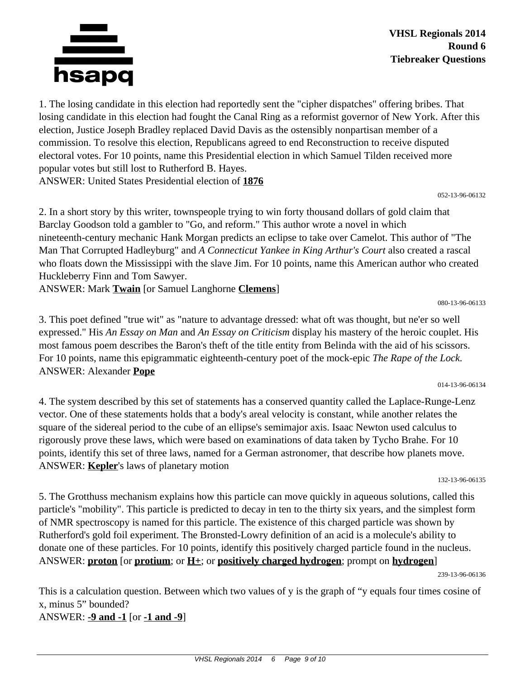

1. The losing candidate in this election had reportedly sent the "cipher dispatches" offering bribes. That losing candidate in this election had fought the Canal Ring as a reformist governor of New York. After this election, Justice Joseph Bradley replaced David Davis as the ostensibly nonpartisan member of a commission. To resolve this election, Republicans agreed to end Reconstruction to receive disputed electoral votes. For 10 points, name this Presidential election in which Samuel Tilden received more popular votes but still lost to Rutherford B. Hayes. ANSWER: United States Presidential election of **1876**

052-13-96-06132

2. In a short story by this writer, townspeople trying to win forty thousand dollars of gold claim that Barclay Goodson told a gambler to "Go, and reform." This author wrote a novel in which nineteenth-century mechanic Hank Morgan predicts an eclipse to take over Camelot. This author of "The Man That Corrupted Hadleyburg" and *A Connecticut Yankee in King Arthur's Court* also created a rascal who floats down the Mississippi with the slave Jim. For 10 points, name this American author who created Huckleberry Finn and Tom Sawyer.

ANSWER: Mark **Twain** [or Samuel Langhorne **Clemens**]

080-13-96-06133

3. This poet defined "true wit" as "nature to advantage dressed: what oft was thought, but ne'er so well expressed." His *An Essay on Man* and *An Essay on Criticism* display his mastery of the heroic couplet. His most famous poem describes the Baron's theft of the title entity from Belinda with the aid of his scissors. For 10 points, name this epigrammatic eighteenth-century poet of the mock-epic *The Rape of the Lock.* ANSWER: Alexander **Pope**

014-13-96-06134

4. The system described by this set of statements has a conserved quantity called the Laplace-Runge-Lenz vector. One of these statements holds that a body's areal velocity is constant, while another relates the square of the sidereal period to the cube of an ellipse's semimajor axis. Isaac Newton used calculus to rigorously prove these laws, which were based on examinations of data taken by Tycho Brahe. For 10 points, identify this set of three laws, named for a German astronomer, that describe how planets move. ANSWER: **Kepler**'s laws of planetary motion

132-13-96-06135

5. The Grotthuss mechanism explains how this particle can move quickly in aqueous solutions, called this particle's "mobility". This particle is predicted to decay in ten to the thirty six years, and the simplest form of NMR spectroscopy is named for this particle. The existence of this charged particle was shown by Rutherford's gold foil experiment. The Bronsted-Lowry definition of an acid is a molecule's ability to donate one of these particles. For 10 points, identify this positively charged particle found in the nucleus. ANSWER: **proton** [or **protium**; or **H**<sub> $\pm$ </sub>; or **positively charged hydrogen**; prompt on **hydrogen**]

239-13-96-06136

This is a calculation question. Between which two values of y is the graph of "y equals four times cosine of x, minus 5" bounded?

ANSWER: **-9 and -1** [or **-1 and -9**]